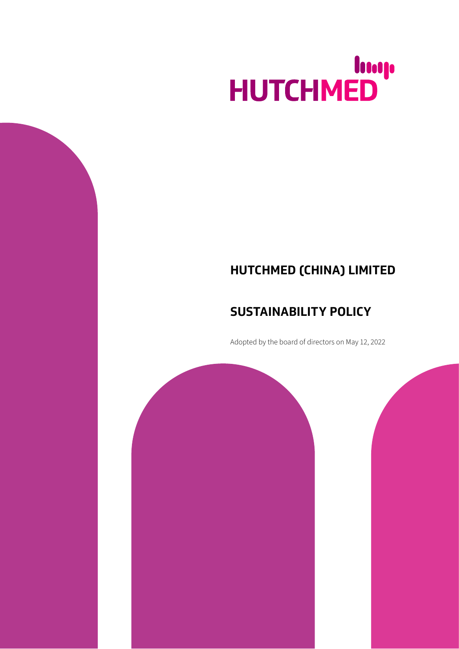# HUTCHMED

# **HUTCHMED (CHINA) LIMITED**

## **SUSTAINABILITY POLICY**

Adopted by the board of directors on May 12, 2022

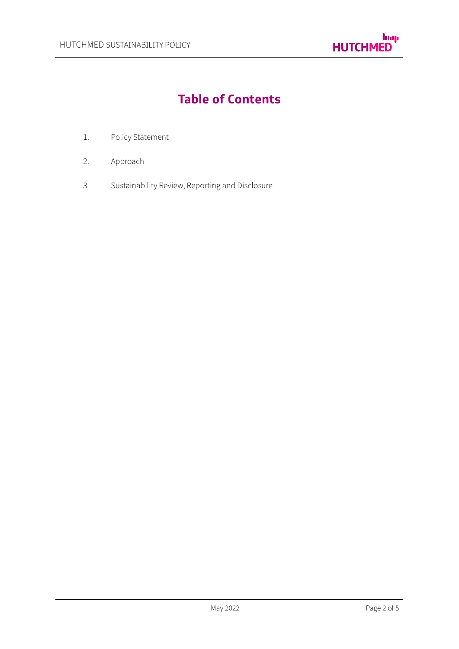

# **Table of Contents**

- 1. Policy Statement
- 2. Approach
- 3 Sustainability Review, Reporting and Disclosure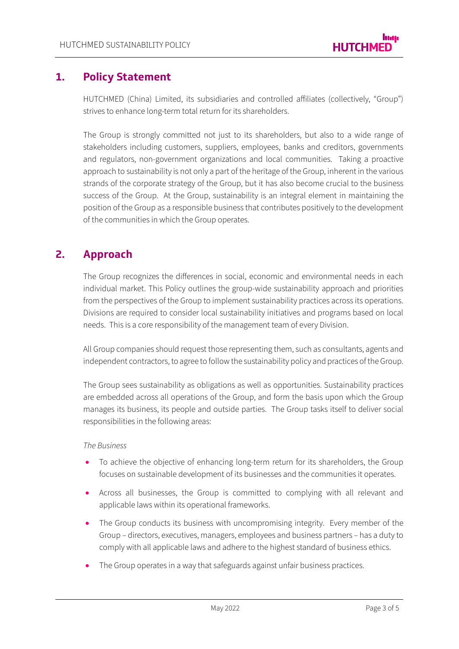### **1. Policy Statement**

HUTCHMED (China) Limited, its subsidiaries and controlled affiliates (collectively, "Group") strives to enhance long-term total return for its shareholders.

The Group is strongly committed not just to its shareholders, but also to a wide range of stakeholders including customers, suppliers, employees, banks and creditors, governments and regulators, non-government organizations and local communities. Taking a proactive approach to sustainability is not only a part of the heritage of the Group, inherent in the various strands of the corporate strategy of the Group, but it has also become crucial to the business success of the Group. At the Group, sustainability is an integral element in maintaining the position of the Group as a responsible business that contributes positively to the development of the communities in which the Group operates.

## **2. Approach**

The Group recognizes the differences in social, economic and environmental needs in each individual market. This Policy outlines the group-wide sustainability approach and priorities from the perspectives of the Group to implement sustainability practices across its operations. Divisions are required to consider local sustainability initiatives and programs based on local needs. This is a core responsibility of the management team of every Division.

All Group companies should request those representing them, such as consultants, agents and independent contractors, to agree to follow the sustainability policy and practices of the Group.

The Group sees sustainability as obligations as well as opportunities. Sustainability practices are embedded across all operations of the Group, and form the basis upon which the Group manages its business, its people and outside parties. The Group tasks itself to deliver social responsibilities in the following areas:

#### *The Business*

- To achieve the objective of enhancing long-term return for its shareholders, the Group focuses on sustainable development of its businesses and the communities it operates.
- Across all businesses, the Group is committed to complying with all relevant and applicable laws within its operational frameworks.
- The Group conducts its business with uncompromising integrity. Every member of the Group – directors, executives, managers, employees and business partners – has a duty to comply with all applicable laws and adhere to the highest standard of business ethics.
- The Group operates in a way that safeguards against unfair business practices.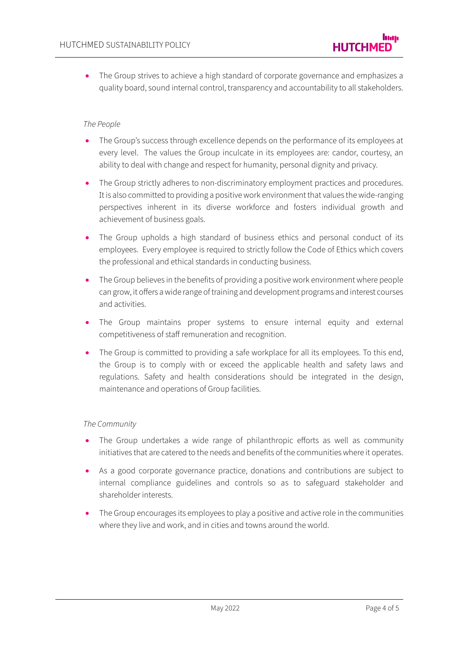The Group strives to achieve a high standard of corporate governance and emphasizes a quality board, sound internal control, transparency and accountability to all stakeholders.

#### *The People*

- The Group's success through excellence depends on the performance of its employees at every level. The values the Group inculcate in its employees are: candor, courtesy, an ability to deal with change and respect for humanity, personal dignity and privacy.
- The Group strictly adheres to non-discriminatory employment practices and procedures. Іt is also committed to providing a positive work environment that values the wide-ranging perspectives inherent in its diverse workforce and fosters individual growth and achievement of business goals.
- The Group upholds a high standard of business ethics and personal conduct of its employees. Every employee is required to strictly follow the Code of Ethics which covers the professional and ethical standards in conducting business.
- The Group believes in the benefits of providing a positive work environment where people can grow, it offers a wide range of training and development programs and interest courses and activities.
- The Group maintains proper systems to ensure internal equity and external competitiveness of staff remuneration and recognition.
- The Group is committed to providing a safe workplace for all its employees. To this end, the Group is to comply with or exceed the applicable health and safety laws and regulations. Safety and health considerations should be integrated in the design, maintenance and operations of Group facilities.

#### *The Community*

- The Group undertakes a wide range of philanthropic efforts as well as community initiatives that are catered to the needs and benefits of the communities where it operates.
- As a good corporate governance practice, donations and contributions are subject to internal compliance guidelines and controls so as to safeguard stakeholder and shareholder interests.
- The Group encourages its employees to play a positive and active role in the communities where they live and work, and in cities and towns around the world.